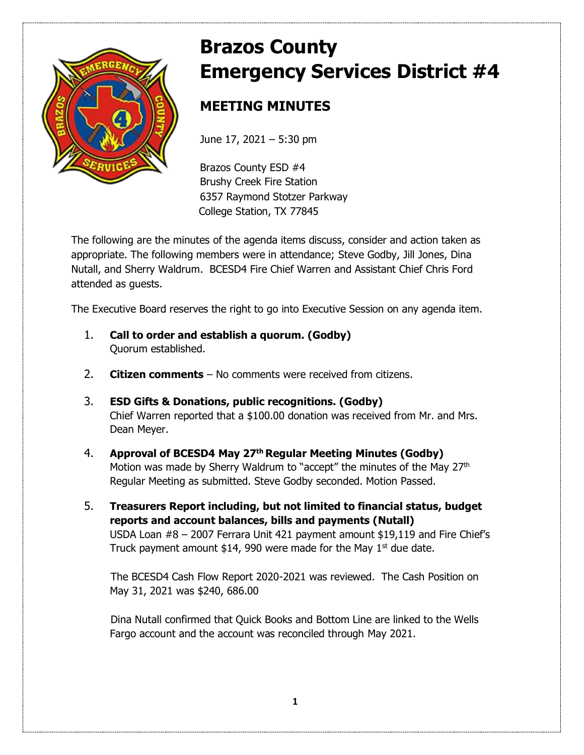

# **Brazos County Emergency Services District #4**

# **MEETING MINUTES**

June 17, 2021 – 5:30 pm

Brazos County ESD #4 Brushy Creek Fire Station 6357 Raymond Stotzer Parkway College Station, TX 77845

The following are the minutes of the agenda items discuss, consider and action taken as appropriate. The following members were in attendance; Steve Godby, Jill Jones, Dina Nutall, and Sherry Waldrum. BCESD4 Fire Chief Warren and Assistant Chief Chris Ford attended as guests.

The Executive Board reserves the right to go into Executive Session on any agenda item.

- 1. **Call to order and establish a quorum. (Godby)** Quorum established.
- 2. **Citizen comments** No comments were received from citizens.
- 3. **ESD Gifts & Donations, public recognitions. (Godby)** Chief Warren reported that a \$100.00 donation was received from Mr. and Mrs. Dean Meyer.
- 4. **Approval of BCESD4 May 27 th Regular Meeting Minutes (Godby)** Motion was made by Sherry Waldrum to "accept" the minutes of the May 27<sup>th</sup> Regular Meeting as submitted. Steve Godby seconded. Motion Passed.
- 5. **Treasurers Report including, but not limited to financial status, budget reports and account balances, bills and payments (Nutall)**  USDA Loan #8 – 2007 Ferrara Unit 421 payment amount \$19,119 and Fire Chief's Truck payment amount \$14, 990 were made for the May  $1<sup>st</sup>$  due date.

The BCESD4 Cash Flow Report 2020-2021 was reviewed. The Cash Position on May 31, 2021 was \$240, 686.00

Dina Nutall confirmed that Quick Books and Bottom Line are linked to the Wells Fargo account and the account was reconciled through May 2021.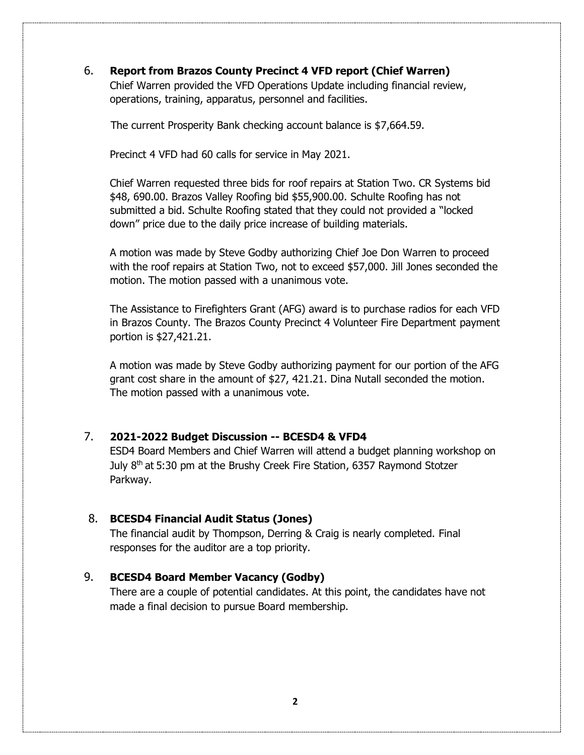## 6. **Report from Brazos County Precinct 4 VFD report (Chief Warren)**

 Chief Warren provided the VFD Operations Update including financial review, operations, training, apparatus, personnel and facilities.

The current Prosperity Bank checking account balance is \$7,664.59.

Precinct 4 VFD had 60 calls for service in May 2021.

Chief Warren requested three bids for roof repairs at Station Two. CR Systems bid \$48, 690.00. Brazos Valley Roofing bid \$55,900.00. Schulte Roofing has not submitted a bid. Schulte Roofing stated that they could not provided a "locked down" price due to the daily price increase of building materials.

A motion was made by Steve Godby authorizing Chief Joe Don Warren to proceed with the roof repairs at Station Two, not to exceed \$57,000. Jill Jones seconded the motion. The motion passed with a unanimous vote.

The Assistance to Firefighters Grant (AFG) award is to purchase radios for each VFD in Brazos County. The Brazos County Precinct 4 Volunteer Fire Department payment portion is \$27,421.21.

A motion was made by Steve Godby authorizing payment for our portion of the AFG grant cost share in the amount of \$27, 421.21. Dina Nutall seconded the motion. The motion passed with a unanimous vote.

# 7. **2021-2022 Budget Discussion -- BCESD4 & VFD4**

ESD4 Board Members and Chief Warren will attend a budget planning workshop on July 8<sup>th</sup> at 5:30 pm at the Brushy Creek Fire Station, 6357 Raymond Stotzer Parkway.

#### 8. **BCESD4 Financial Audit Status (Jones)**

The financial audit by Thompson, Derring & Craig is nearly completed. Final responses for the auditor are a top priority.

### 9. **BCESD4 Board Member Vacancy (Godby)**

There are a couple of potential candidates. At this point, the candidates have not made a final decision to pursue Board membership.